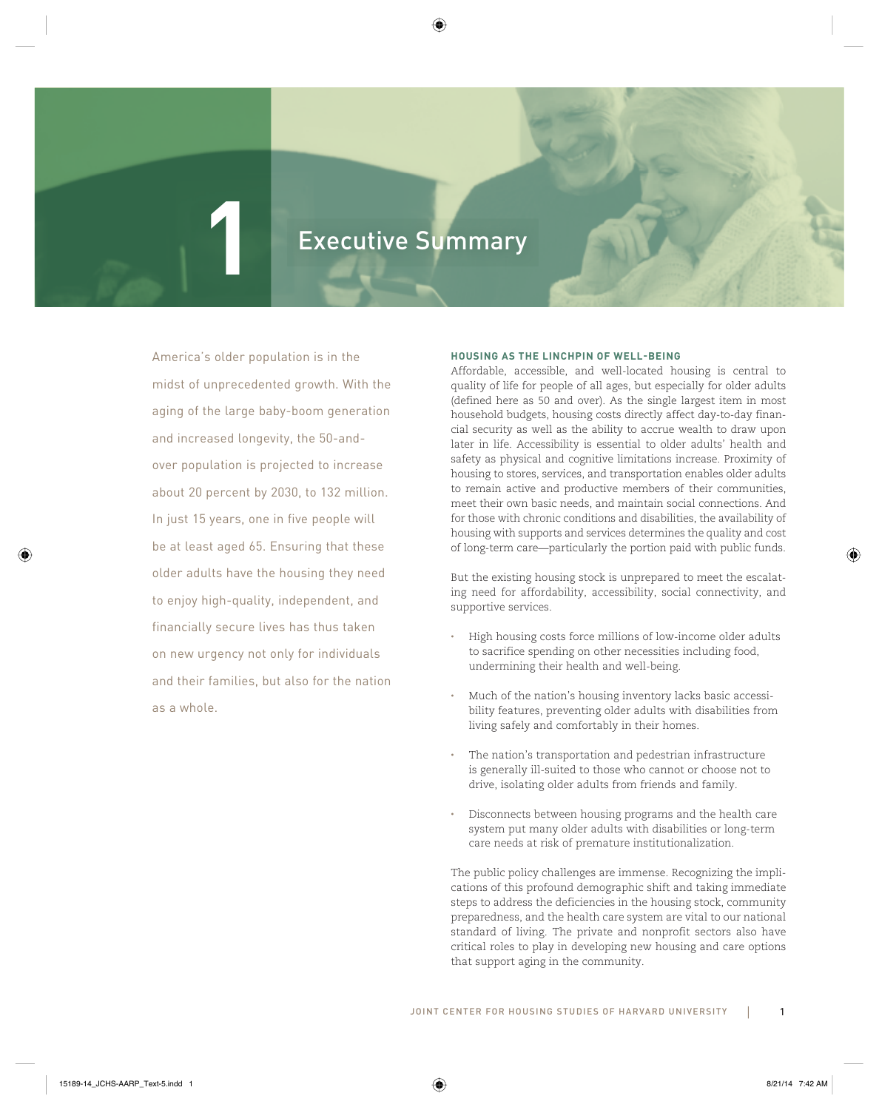# **1** Executive Summary **1** Executive Summary

America's older population is in the midst of unprecedented growth. With the aging of the large baby-boom generation and increased longevity, the 50-andover population is projected to increase about 20 percent by 2030, to 132 million. In just 15 years, one in five people will be at least aged 65. Ensuring that these older adults have the housing they need to enjoy high-quality, independent, and financially secure lives has thus taken on new urgency not only for individuals and their families, but also for the nation as a whole.

# **HOUSING AS THE LINCHPIN OF WELL-BEING**

Affordable, accessible, and well-located housing is central to quality of life for people of all ages, but especially for older adults (defined here as 50 and over). As the single largest item in most household budgets, housing costs directly affect day-to-day financial security as well as the ability to accrue wealth to draw upon later in life. Accessibility is essential to older adults' health and safety as physical and cognitive limitations increase. Proximity of housing to stores, services, and transportation enables older adults to remain active and productive members of their communities, meet their own basic needs, and maintain social connections. And for those with chronic conditions and disabilities, the availability of housing with supports and services determines the quality and cost of long-term care—particularly the portion paid with public funds.

But the existing housing stock is unprepared to meet the escalating need for affordability, accessibility, social connectivity, and supportive services.

- High housing costs force millions of low-income older adults to sacrifice spending on other necessities including food, undermining their health and well-being.
- Much of the nation's housing inventory lacks basic accessibility features, preventing older adults with disabilities from living safely and comfortably in their homes.
- The nation's transportation and pedestrian infrastructure is generally ill-suited to those who cannot or choose not to drive, isolating older adults from friends and family.
- Disconnects between housing programs and the health care system put many older adults with disabilities or long-term care needs at risk of premature institutionalization.

The public policy challenges are immense. Recognizing the implications of this profound demographic shift and taking immediate steps to address the deficiencies in the housing stock, community preparedness, and the health care system are vital to our national standard of living. The private and nonprofit sectors also have critical roles to play in developing new housing and care options that support aging in the community.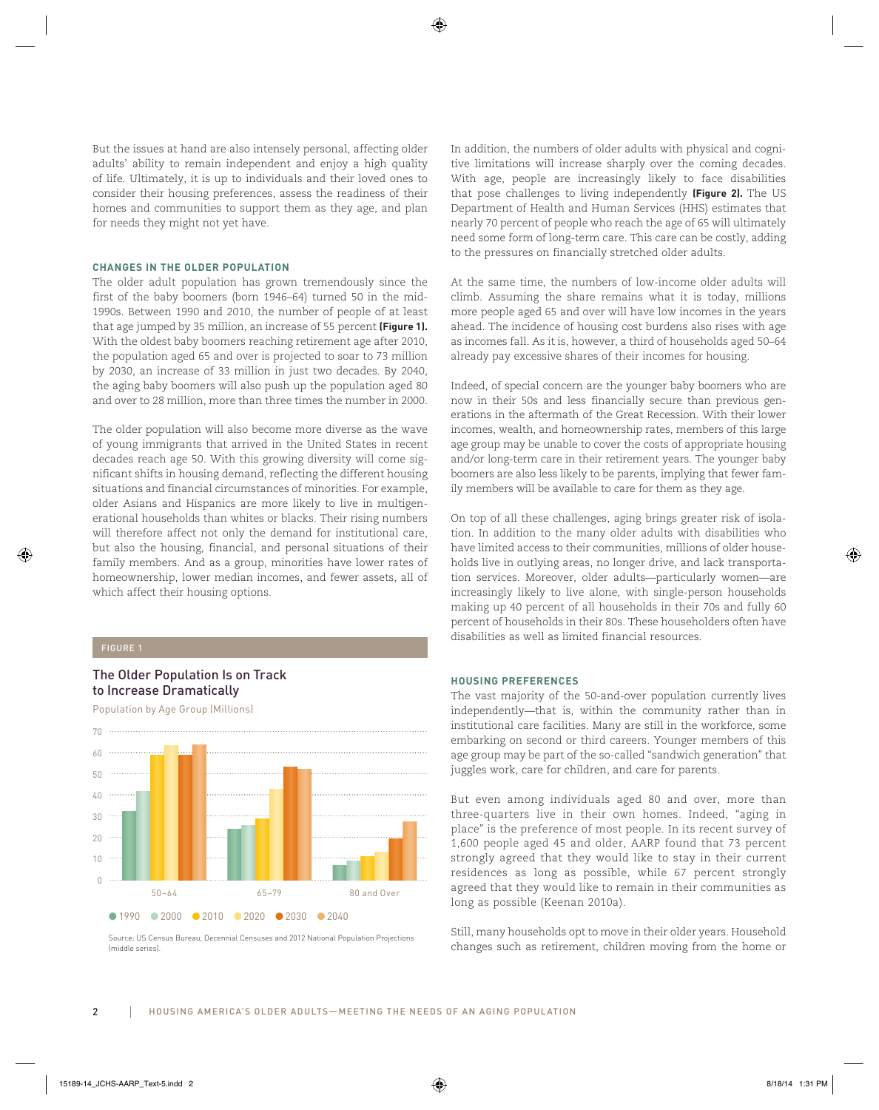But the issues at hand are also intensely personal, affecting older adults' ability to remain independent and enjoy a high quality of life. Ultimately, it is up to individuals and their loved ones to consider their housing preferences, assess the readiness of their homes and communities to support them as they age, and plan for needs they might not yet have.

# **CHANGES IN THE OLDER POPULATION**

The older adult population has grown tremendously since the first of the baby boomers (born 1946–64) turned 50 in the mid-1990s. Between 1990 and 2010, the number of people of at least that age jumped by 35 million, an increase of 55 percent **(Figure 1).** With the oldest baby boomers reaching retirement age after 2010, the population aged 65 and over is projected to soar to 73 million by 2030, an increase of 33 million in just two decades. By 2040, the aging baby boomers will also push up the population aged 80 and over to 28 million, more than three times the number in 2000.

The older population will also become more diverse as the wave of young immigrants that arrived in the United States in recent decades reach age 50. With this growing diversity will come significant shifts in housing demand, reflecting the different housing situations and financial circumstances of minorities. For example, older Asians and Hispanics are more likely to live in multigenerational households than whites or blacks. Their rising numbers will therefore affect not only the demand for institutional care, but also the housing, financial, and personal situations of their family members. And as a group, minorities have lower rates of homeownership, lower median incomes, and fewer assets, all of which affect their housing options.

# The Older Population Is on Track to Increase Dramatically

Population by Age Group (Millions)



(middle series).

In addition, the numbers of older adults with physical and cognitive limitations will increase sharply over the coming decades. With age, people are increasingly likely to face disabilities that pose challenges to living independently **(Figure 2).** The US Department of Health and Human Services (HHS) estimates that nearly 70 percent of people who reach the age of 65 will ultimately need some form of long-term care. This care can be costly, adding to the pressures on financially stretched older adults.

At the same time, the numbers of low-income older adults will climb. Assuming the share remains what it is today, millions more people aged 65 and over will have low incomes in the years ahead. The incidence of housing cost burdens also rises with age as incomes fall. As it is, however, a third of households aged 50–64 already pay excessive shares of their incomes for housing.

Indeed, of special concern are the younger baby boomers who are now in their 50s and less financially secure than previous generations in the aftermath of the Great Recession. With their lower incomes, wealth, and homeownership rates, members of this large age group may be unable to cover the costs of appropriate housing and/or long-term care in their retirement years. The younger baby boomers are also less likely to be parents, implying that fewer family members will be available to care for them as they age.

On top of all these challenges, aging brings greater risk of isolation. In addition to the many older adults with disabilities who have limited access to their communities, millions of older households live in outlying areas, no longer drive, and lack transportation services. Moreover, older adults—particularly women—are increasingly likely to live alone, with single-person households making up 40 percent of all households in their 70s and fully 60 percent of households in their 80s. These householders often have disabilities as well as limited financial resources.

# **HOUSING PREFERENCES**

The vast majority of the 50-and-over population currently lives independently—that is, within the community rather than in institutional care facilities. Many are still in the workforce, some embarking on second or third careers. Younger members of this age group may be part of the so-called "sandwich generation" that juggles work, care for children, and care for parents.

But even among individuals aged 80 and over, more than three-quarters live in their own homes. Indeed, "aging in place" is the preference of most people. In its recent survey of 1,600 people aged 45 and older, AARP found that 73 percent strongly agreed that they would like to stay in their current residences as long as possible, while 67 percent strongly agreed that they would like to remain in their communities as long as possible (Keenan 2010a).

Still, many households opt to move in their older years. Household changes such as retirement, children moving from the home or Source: US Census Bureau, Decennial Censuses and 2012 National Population Projections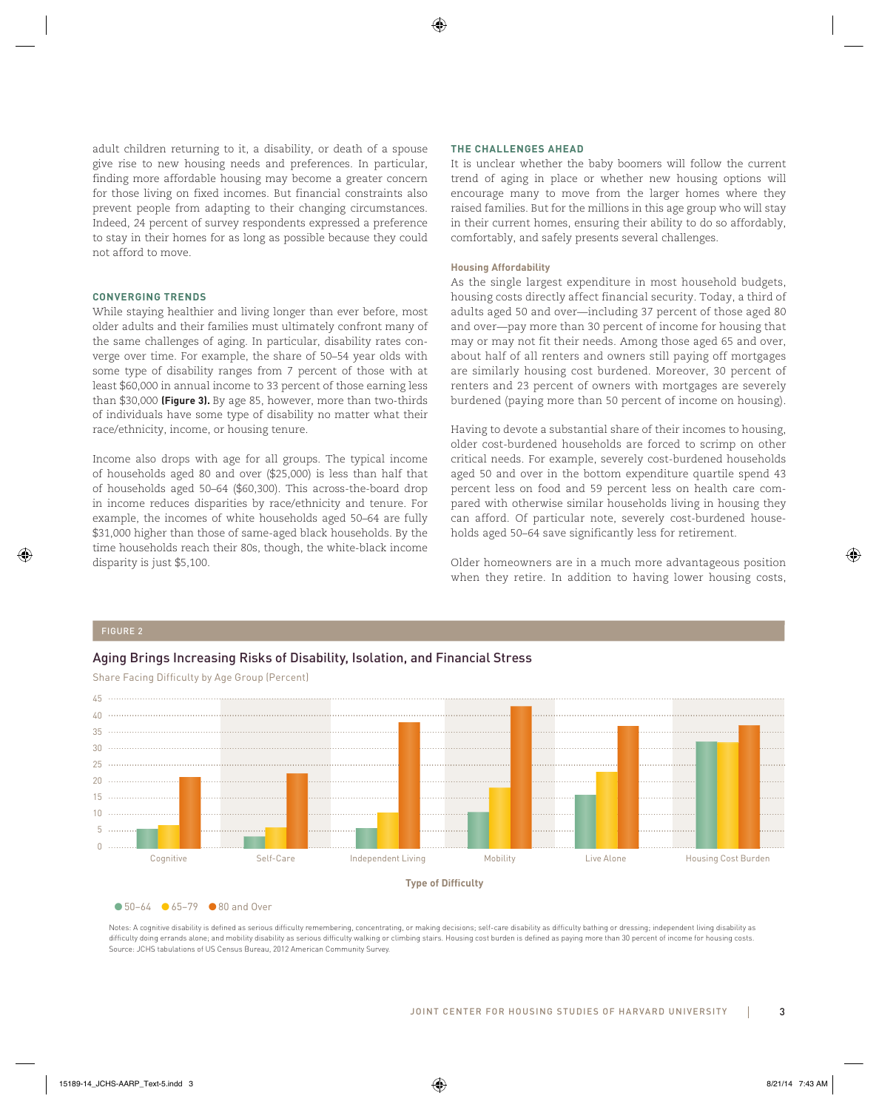adult children returning to it, a disability, or death of a spouse give rise to new housing needs and preferences. In particular, finding more affordable housing may become a greater concern for those living on fixed incomes. But financial constraints also prevent people from adapting to their changing circumstances. Indeed, 24 percent of survey respondents expressed a preference to stay in their homes for as long as possible because they could not afford to move.

# **CONVERGING TRENDS**

While staying healthier and living longer than ever before, most older adults and their families must ultimately confront many of the same challenges of aging. In particular, disability rates converge over time. For example, the share of 50–54 year olds with some type of disability ranges from 7 percent of those with at least \$60,000 in annual income to 33 percent of those earning less than \$30,000 **(Figure 3).** By age 85, however, more than two-thirds of individuals have some type of disability no matter what their race/ethnicity, income, or housing tenure.

Income also drops with age for all groups. The typical income of households aged 80 and over (\$25,000) is less than half that of households aged 50–64 (\$60,300). This across-the-board drop in income reduces disparities by race/ethnicity and tenure. For example, the incomes of white households aged 50–64 are fully \$31,000 higher than those of same-aged black households. By the time households reach their 80s, though, the white-black income disparity is just \$5,100.

# **THE CHALLENGES AHEAD**

It is unclear whether the baby boomers will follow the current trend of aging in place or whether new housing options will encourage many to move from the larger homes where they raised families. But for the millions in this age group who will stay in their current homes, ensuring their ability to do so affordably, comfortably, and safely presents several challenges.

## **Housing Affordability**

As the single largest expenditure in most household budgets, housing costs directly affect financial security. Today, a third of adults aged 50 and over—including 37 percent of those aged 80 and over—pay more than 30 percent of income for housing that may or may not fit their needs. Among those aged 65 and over, about half of all renters and owners still paying off mortgages are similarly housing cost burdened. Moreover, 30 percent of renters and 23 percent of owners with mortgages are severely burdened (paying more than 50 percent of income on housing).

Having to devote a substantial share of their incomes to housing, older cost-burdened households are forced to scrimp on other critical needs. For example, severely cost-burdened households aged 50 and over in the bottom expenditure quartile spend 43 percent less on food and 59 percent less on health care compared with otherwise similar households living in housing they can afford. Of particular note, severely cost-burdened households aged 50–64 save significantly less for retirement.

Older homeowners are in a much more advantageous position when they retire. In addition to having lower housing costs,

# Aging Brings Increasing Risks of Disability, Isolation, and Financial Stress



Share Facing Difficulty by Age Group (Percent)

● 50–64 ● 65–79 ● 80 and Over

Notes: A cognitive disability is defined as serious difficulty remembering, concentrating, or making decisions; self-care disability as difficulty bathing or dressing; independent living disability as difficulty doing errands alone; and mobility disability as serious difficulty walking or climbing stairs. Housing cost burden is defined as paying more than 30 percent of income for housing costs. Source: JCHS tabulations of US Census Bureau, 2012 American Community Survey.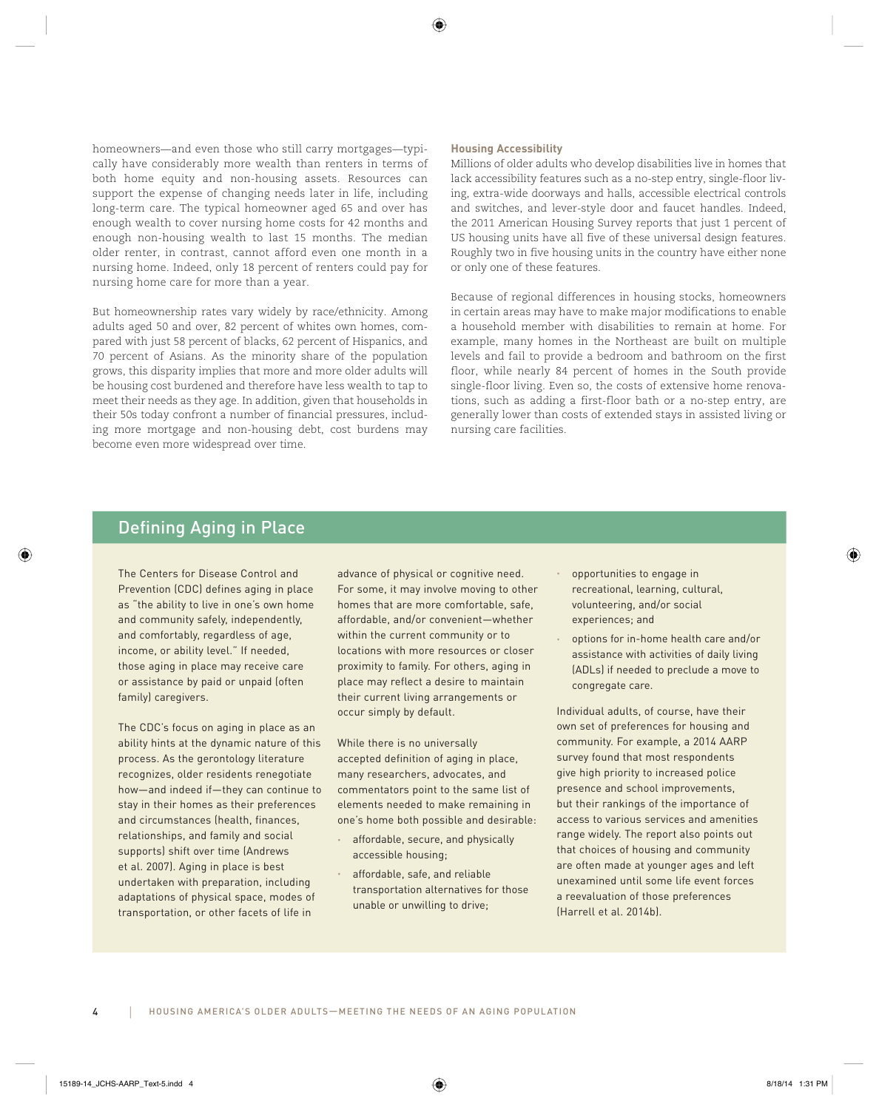homeowners—and even those who still carry mortgages—typically have considerably more wealth than renters in terms of both home equity and non-housing assets. Resources can support the expense of changing needs later in life, including long-term care. The typical homeowner aged 65 and over has enough wealth to cover nursing home costs for 42 months and enough non-housing wealth to last 15 months. The median older renter, in contrast, cannot afford even one month in a nursing home. Indeed, only 18 percent of renters could pay for nursing home care for more than a year.

But homeownership rates vary widely by race/ethnicity. Among adults aged 50 and over, 82 percent of whites own homes, compared with just 58 percent of blacks, 62 percent of Hispanics, and 70 percent of Asians. As the minority share of the population grows, this disparity implies that more and more older adults will be housing cost burdened and therefore have less wealth to tap to meet their needs as they age. In addition, given that households in their 50s today confront a number of financial pressures, including more mortgage and non-housing debt, cost burdens may become even more widespread over time.

# **Housing Accessibility**

Millions of older adults who develop disabilities live in homes that lack accessibility features such as a no-step entry, single-floor living, extra-wide doorways and halls, accessible electrical controls and switches, and lever-style door and faucet handles. Indeed, the 2011 American Housing Survey reports that just 1 percent of US housing units have all five of these universal design features. Roughly two in five housing units in the country have either none or only one of these features.

Because of regional differences in housing stocks, homeowners in certain areas may have to make major modifications to enable a household member with disabilities to remain at home. For example, many homes in the Northeast are built on multiple levels and fail to provide a bedroom and bathroom on the first floor, while nearly 84 percent of homes in the South provide single-floor living. Even so, the costs of extensive home renovations, such as adding a first-floor bath or a no-step entry, are generally lower than costs of extended stays in assisted living or nursing care facilities.

# Defining Aging in Place

The Centers for Disease Control and Prevention (CDC) defines aging in place as "the ability to live in one's own home and community safely, independently, and comfortably, regardless of age, income, or ability level." If needed, those aging in place may receive care or assistance by paid or unpaid (often family) caregivers.

The CDC's focus on aging in place as an ability hints at the dynamic nature of this process. As the gerontology literature recognizes, older residents renegotiate how—and indeed if—they can continue to stay in their homes as their preferences and circumstances (health, finances, relationships, and family and social supports) shift over time (Andrews et al. 2007). Aging in place is best undertaken with preparation, including adaptations of physical space, modes of transportation, or other facets of life in

advance of physical or cognitive need. For some, it may involve moving to other homes that are more comfortable, safe, affordable, and/or convenient—whether within the current community or to locations with more resources or closer proximity to family. For others, aging in place may reflect a desire to maintain their current living arrangements or occur simply by default.

While there is no universally accepted definition of aging in place, many researchers, advocates, and commentators point to the same list of elements needed to make remaining in one's home both possible and desirable:

- affordable, secure, and physically accessible housing;
- affordable, safe, and reliable transportation alternatives for those unable or unwilling to drive;
- opportunities to engage in recreational, learning, cultural, volunteering, and/or social experiences; and
- options for in-home health care and/or assistance with activities of daily living (ADLs) if needed to preclude a move to congregate care.

Individual adults, of course, have their own set of preferences for housing and community. For example, a 2014 AARP survey found that most respondents give high priority to increased police presence and school improvements, but their rankings of the importance of access to various services and amenities range widely. The report also points out that choices of housing and community are often made at younger ages and left unexamined until some life event forces a reevaluation of those preferences (Harrell et al. 2014b).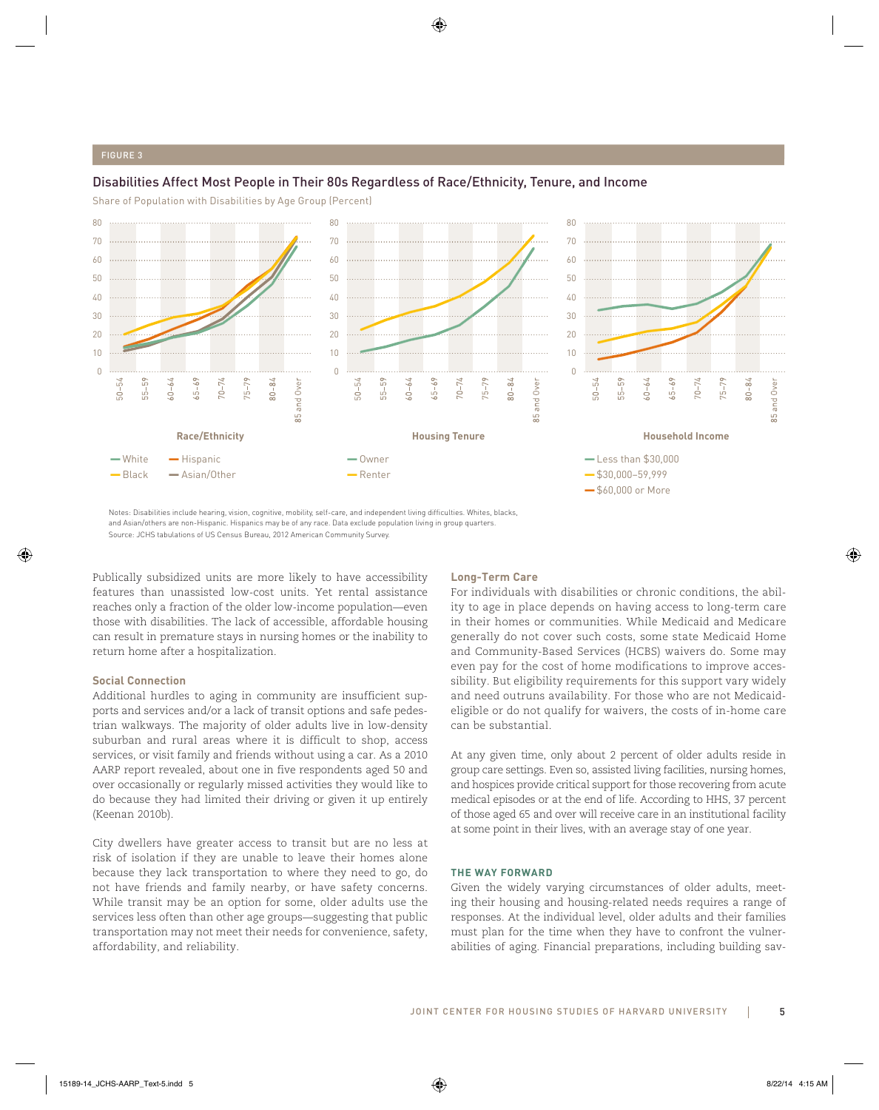# Disabilities Affect Most People in Their 80s Regardless of Race/Ethnicity, Tenure, and Income

Share of Population with Disabilities by Age Group (Percent)



Notes: Disabilities include hearing, vision, cognitive, mobility, self-care, and independent living difficulties. Whites, blacks, and Asian/others are non-Hispanic. Hispanics may be of any race. Data exclude population living in group quarters. Source: JCHS tabulations of US Census Bureau, 2012 American Community Survey.

Publically subsidized units are more likely to have accessibility features than unassisted low-cost units. Yet rental assistance reaches only a fraction of the older low-income population—even those with disabilities. The lack of accessible, affordable housing can result in premature stays in nursing homes or the inability to return home after a hospitalization.

# **Social Connection**

Additional hurdles to aging in community are insufficient supports and services and/or a lack of transit options and safe pedestrian walkways. The majority of older adults live in low-density suburban and rural areas where it is difficult to shop, access services, or visit family and friends without using a car. As a 2010 AARP report revealed, about one in five respondents aged 50 and over occasionally or regularly missed activities they would like to do because they had limited their driving or given it up entirely (Keenan 2010b).

City dwellers have greater access to transit but are no less at risk of isolation if they are unable to leave their homes alone because they lack transportation to where they need to go, do not have friends and family nearby, or have safety concerns. While transit may be an option for some, older adults use the services less often than other age groups—suggesting that public transportation may not meet their needs for convenience, safety, affordability, and reliability.

# **Long-Term Care**

For individuals with disabilities or chronic conditions, the ability to age in place depends on having access to long-term care in their homes or communities. While Medicaid and Medicare generally do not cover such costs, some state Medicaid Home and Community-Based Services (HCBS) waivers do. Some may even pay for the cost of home modifications to improve accessibility. But eligibility requirements for this support vary widely and need outruns availability. For those who are not Medicaideligible or do not qualify for waivers, the costs of in-home care can be substantial.

At any given time, only about 2 percent of older adults reside in group care settings. Even so, assisted living facilities, nursing homes, and hospices provide critical support for those recovering from acute medical episodes or at the end of life. According to HHS, 37 percent of those aged 65 and over will receive care in an institutional facility at some point in their lives, with an average stay of one year.

# **THE WAY FORWARD**

Given the widely varying circumstances of older adults, meeting their housing and housing-related needs requires a range of responses. At the individual level, older adults and their families must plan for the time when they have to confront the vulnerabilities of aging. Financial preparations, including building sav